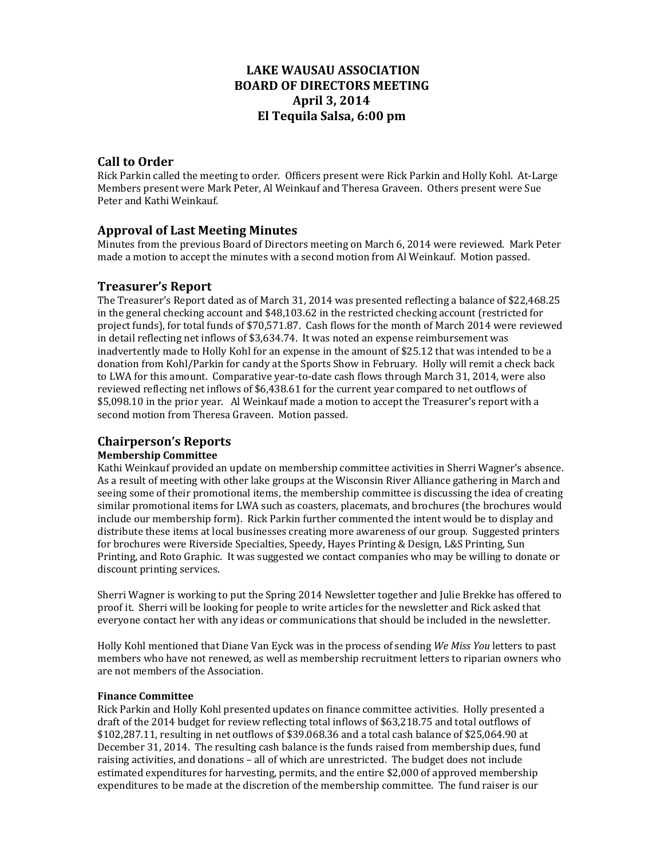# **LAKE WAUSAU ASSOCIATION BOARD OF DIRECTORS MEETING April 3, 2014 El Tequila Salsa, 6:00 pm**

# **Call to Order**

Rick Parkin called the meeting to order. Officers present were Rick Parkin and Holly Kohl. At-Large Members present were Mark Peter, Al Weinkauf and Theresa Graveen. Others present were Sue Peter and Kathi Weinkauf.

# **Approval of Last Meeting Minutes**

Minutes from the previous Board of Directors meeting on March 6, 2014 were reviewed. Mark Peter made a motion to accept the minutes with a second motion from Al Weinkauf. Motion passed.

## **Treasurer's Report**

The Treasurer's Report dated as of March 31, 2014 was presented reflecting a balance of \$22,468.25 in the general checking account and \$48,103.62 in the restricted checking account (restricted for project funds), for total funds of \$70,571.87. Cash flows for the month of March 2014 were reviewed in detail reflecting net inflows of  $$3,634.74$ . It was noted an expense reimbursement was inadvertently made to Holly Kohl for an expense in the amount of \$25.12 that was intended to be a donation from Kohl/Parkin for candy at the Sports Show in February. Holly will remit a check back to LWA for this amount. Comparative year-to-date cash flows through March 31, 2014, were also reviewed reflecting net inflows of \$6,438.61 for the current year compared to net outflows of \$5,098.10 in the prior year. Al Weinkauf made a motion to accept the Treasurer's report with a second motion from Theresa Graveen. Motion passed.

## **Chairperson's Reports**

## **Membership Committee**

Kathi Weinkauf provided an update on membership committee activities in Sherri Wagner's absence. As a result of meeting with other lake groups at the Wisconsin River Alliance gathering in March and seeing some of their promotional items, the membership committee is discussing the idea of creating similar promotional items for LWA such as coasters, placemats, and brochures (the brochures would include our membership form). Rick Parkin further commented the intent would be to display and distribute these items at local businesses creating more awareness of our group. Suggested printers for brochures were Riverside Specialties, Speedy, Hayes Printing & Design, L&S Printing, Sun Printing, and Roto Graphic. It was suggested we contact companies who may be willing to donate or discount printing services.

Sherri Wagner is working to put the Spring 2014 Newsletter together and Julie Brekke has offered to proof it. Sherri will be looking for people to write articles for the newsletter and Rick asked that everyone contact her with any ideas or communications that should be included in the newsletter.

Holly Kohl mentioned that Diane Van Eyck was in the process of sending *We Miss You* letters to past members who have not renewed, as well as membership recruitment letters to riparian owners who are not members of the Association.

## **Finance Committee**

Rick Parkin and Holly Kohl presented updates on finance committee activities. Holly presented a draft of the 2014 budget for review reflecting total inflows of \$63,218.75 and total outflows of  $$102,287.11$ , resulting in net outflows of \$39.068.36 and a total cash balance of \$25,064.90 at December 31, 2014. The resulting cash balance is the funds raised from membership dues, fund raising activities, and donations - all of which are unrestricted. The budget does not include estimated expenditures for harvesting, permits, and the entire \$2,000 of approved membership expenditures to be made at the discretion of the membership committee. The fund raiser is our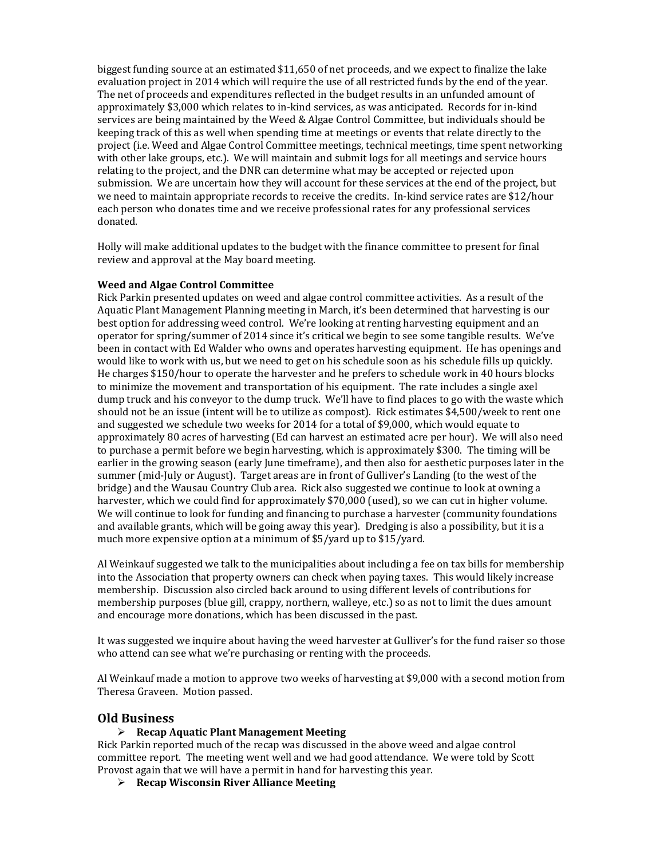biggest funding source at an estimated  $$11.650$  of net proceeds, and we expect to finalize the lake evaluation project in 2014 which will require the use of all restricted funds by the end of the year. The net of proceeds and expenditures reflected in the budget results in an unfunded amount of approximately \$3,000 which relates to in-kind services, as was anticipated. Records for in-kind services are being maintained by the Weed & Algae Control Committee, but individuals should be keeping track of this as well when spending time at meetings or events that relate directly to the project (i.e. Weed and Algae Control Committee meetings, technical meetings, time spent networking with other lake groups, etc.). We will maintain and submit logs for all meetings and service hours relating to the project, and the DNR can determine what may be accepted or rejected upon submission. We are uncertain how they will account for these services at the end of the project, but we need to maintain appropriate records to receive the credits. In-kind service rates are \$12/hour each person who donates time and we receive professional rates for any professional services donated. 

Holly will make additional updates to the budget with the finance committee to present for final review and approval at the May board meeting.

#### **Weed and Algae Control Committee**

Rick Parkin presented updates on weed and algae control committee activities. As a result of the Aquatic Plant Management Planning meeting in March, it's been determined that harvesting is our best option for addressing weed control. We're looking at renting harvesting equipment and an operator for spring/summer of 2014 since it's critical we begin to see some tangible results. We've been in contact with Ed Walder who owns and operates harvesting equipment. He has openings and would like to work with us, but we need to get on his schedule soon as his schedule fills up quickly. He charges \$150/hour to operate the harvester and he prefers to schedule work in 40 hours blocks to minimize the movement and transportation of his equipment. The rate includes a single axel dump truck and his conveyor to the dump truck. We'll have to find places to go with the waste which should not be an issue (intent will be to utilize as compost). Rick estimates \$4,500/week to rent one and suggested we schedule two weeks for 2014 for a total of \$9,000, which would equate to approximately 80 acres of harvesting (Ed can harvest an estimated acre per hour). We will also need to purchase a permit before we begin harvesting, which is approximately \$300. The timing will be earlier in the growing season (early June timeframe), and then also for aesthetic purposes later in the summer (mid-July or August). Target areas are in front of Gulliver's Landing (to the west of the bridge) and the Wausau Country Club area. Rick also suggested we continue to look at owning a harvester, which we could find for approximately \$70,000 (used), so we can cut in higher volume. We will continue to look for funding and financing to purchase a harvester (community foundations and available grants, which will be going away this year). Dredging is also a possibility, but it is a much more expensive option at a minimum of  $$5/$ yard up to  $$15/$ yard.

Al Weinkauf suggested we talk to the municipalities about including a fee on tax bills for membership into the Association that property owners can check when paying taxes. This would likely increase membership. Discussion also circled back around to using different levels of contributions for membership purposes (blue gill, crappy, northern, walleye, etc.) so as not to limit the dues amount and encourage more donations, which has been discussed in the past.

It was suggested we inquire about having the weed harvester at Gulliver's for the fund raiser so those who attend can see what we're purchasing or renting with the proceeds.

Al Weinkauf made a motion to approve two weeks of harvesting at \$9,000 with a second motion from Theresa Graveen. Motion passed.

#### **Old Business**

#### **Recap Aquatic Plant Management Meeting**

Rick Parkin reported much of the recap was discussed in the above weed and algae control committee report. The meeting went well and we had good attendance. We were told by Scott Provost again that we will have a permit in hand for harvesting this year.

**Recap Wisconsin River Alliance Meeting**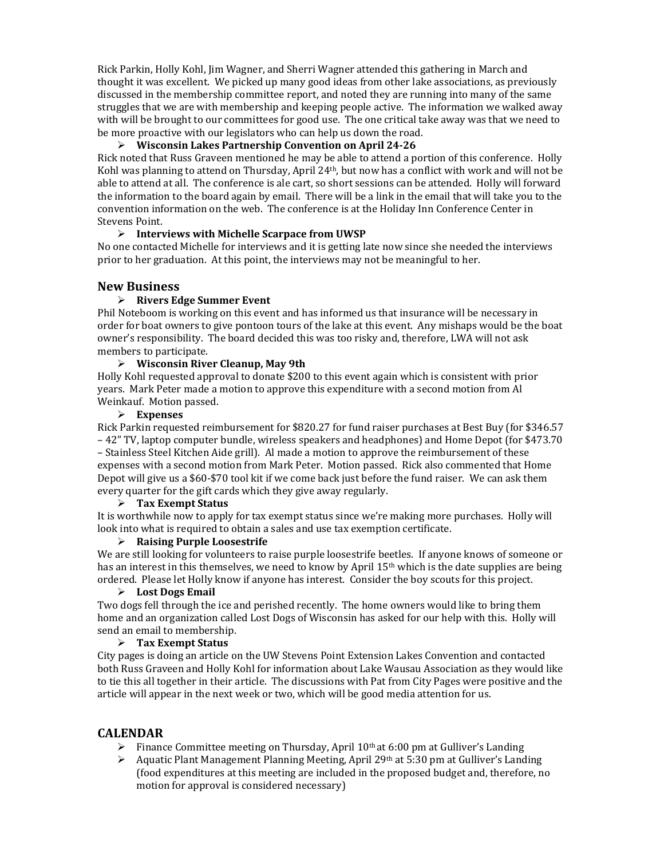Rick Parkin, Holly Kohl, Jim Wagner, and Sherri Wagner attended this gathering in March and thought it was excellent. We picked up many good ideas from other lake associations, as previously discussed in the membership committee report, and noted they are running into many of the same struggles that we are with membership and keeping people active. The information we walked away with will be brought to our committees for good use. The one critical take away was that we need to be more proactive with our legislators who can help us down the road.

## **Wisconsin Lakes Partnership Convention on April 24‐26**

Rick noted that Russ Graveen mentioned he may be able to attend a portion of this conference. Holly Kohl was planning to attend on Thursday, April  $24<sup>th</sup>$ , but now has a conflict with work and will not be able to attend at all. The conference is ale cart, so short sessions can be attended. Holly will forward the information to the board again by email. There will be a link in the email that will take you to the convention information on the web. The conference is at the Holiday Inn Conference Center in Stevens Point.

### **Interviews with Michelle Scarpace from UWSP**

No one contacted Michelle for interviews and it is getting late now since she needed the interviews prior to her graduation. At this point, the interviews may not be meaningful to her.

# **New Business**

### **Rivers Edge Summer Event**

Phil Noteboom is working on this event and has informed us that insurance will be necessary in order for boat owners to give pontoon tours of the lake at this event. Any mishaps would be the boat owner's responsibility. The board decided this was too risky and, therefore, LWA will not ask members to participate.

### **Wisconsin River Cleanup, May 9th**

Holly Kohl requested approval to donate \$200 to this event again which is consistent with prior years. Mark Peter made a motion to approve this expenditure with a second motion from Al Weinkauf. Motion passed.

### **Expenses**

Rick Parkin requested reimbursement for \$820.27 for fund raiser purchases at Best Buy (for \$346.57) – 42" TV, laptop computer bundle, wireless speakers and headphones) and Home Depot (for \$473.70 – Stainless Steel Kitchen Aide grill). Al made a motion to approve the reimbursement of these expenses with a second motion from Mark Peter. Motion passed. Rick also commented that Home Depot will give us a  $$60-$70$  tool kit if we come back just before the fund raiser. We can ask them every quarter for the gift cards which they give away regularly.

### **Tax Exempt Status**

It is worthwhile now to apply for tax exempt status since we're making more purchases. Holly will look into what is required to obtain a sales and use tax exemption certificate.

### **Raising Purple Loosestrife**

We are still looking for volunteers to raise purple loosestrife beetles. If anyone knows of someone or has an interest in this themselves, we need to know by April 15<sup>th</sup> which is the date supplies are being ordered. Please let Holly know if anyone has interest. Consider the boy scouts for this project.

### **Lost Dogs Email**

Two dogs fell through the ice and perished recently. The home owners would like to bring them home and an organization called Lost Dogs of Wisconsin has asked for our help with this. Holly will send an email to membership.

### **Tax Exempt Status**

City pages is doing an article on the UW Stevens Point Extension Lakes Convention and contacted both Russ Graveen and Holly Kohl for information about Lake Wausau Association as they would like to tie this all together in their article. The discussions with Pat from City Pages were positive and the article will appear in the next week or two, which will be good media attention for us.

## **CALENDAR**

- Finance Committee meeting on Thursday, April  $10<sup>th</sup>$  at 6:00 pm at Gulliver's Landing
- Aquatic Plant Management Planning Meeting, April 29th at 5:30 pm at Gulliver's Landing (food expenditures at this meeting are included in the proposed budget and, therefore, no motion for approval is considered necessary)